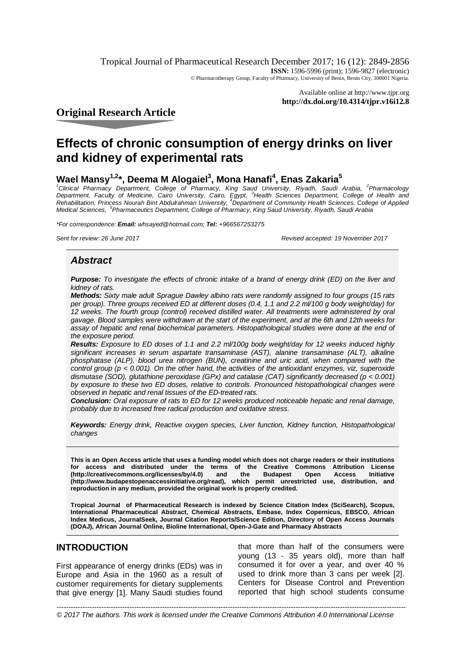Tropical Journal of Pharmaceutical Research December 2017; 16 (12): 2849-2856 **ISSN:** 1596-5996 (print); 1596-9827 (electronic) © Pharmacotherapy Group, Faculty of Pharmacy, University of Benin, Benin City, 300001 Nigeria.

> Available online at <http://www.tjpr.org> **<http://dx.doi.org/10.4314/tjpr.v16i12.8>**

## **Original Research Article**

# **Effects of chronic consumption of energy drinks on liver and kidney of experimental rats**

## **Wael Mansy1,2\*, Deema M Alogaiel<sup>3</sup> , Mona Hanafi<sup>4</sup> , Enas Zakaria<sup>5</sup>**

<sup>1</sup>Clinical Pharmacy Department, College of Pharmacy, King Saud University, Riyadh, Saudi Arabia, <sup>2</sup>Pharmacology<br>Department, Faculty of Medicine, Cairo University, Cairo, Egypt, <sup>3</sup>Health Sciences Department, College of H *Rehabilitation, Princess Nourah Bint Abdulrahman University, <sup>4</sup>Department of Community Health Sciences. College of Applied Medical Sciences, <sup>5</sup> Pharmaceutics Department, College of Pharmacy, King Saud University, Riyadh, Saudi Arabia*

*\*For correspondence: Email: [whsayed@hotmail.com;](mailto:whsayed@hotmail.com;) Tel: +966567253275*

*Sent for review: 26 June 2017 Revised accepted: 19 November 2017*

## *Abstract*

*Purpose: To investigate the effects of chronic intake of a brand of energy drink (ED) on the liver and kidney of rats.* 

*Methods: Sixty male adult Sprague Dawley albino rats were randomly assigned to four groups (15 rats per group). Three groups received ED at different doses (0.4, 1.1 and 2.2 ml/100 g body weight/day) for 12 weeks. The fourth group (control) received distilled water. All treatments were administered by oral gavage. Blood samples were withdrawn at the start of the experiment, and at the 6th and 12th weeks for assay of hepatic and renal biochemical parameters. Histopathological studies were done at the end of the exposure period.* 

*Results: Exposure to ED doses of 1.1 and 2.2 ml/100g body weight/day for 12 weeks induced highly significant increases in serum aspartate transaminase (AST), alanine transaminase (ALT), alkaline phosphatase (ALP), blood urea nitrogen (BUN), creatinine and uric acid, when compared with the control group (p < 0.001). On the other hand, the activities of the antioxidant enzymes, viz, superoxide dismutase (SOD), glutathione peroxidase (GPx) and catalase (CAT) significantly decreased (p < 0.001) by exposure to these two ED doses, relative to controls. Pronounced histopathological changes were observed in hepatic and renal tissues of the ED-treated rats.*

*Conclusion: Oral exposure of rats to ED for 12 weeks produced noticeable hepatic and renal damage, probably due to increased free radical production and oxidative stress.*

*Keywords: Energy drink, Reactive oxygen species, Liver function, Kidney function, Histopathological changes*

**This is an Open Access article that uses a funding model which does not charge readers or their institutions for access and distributed under the terms of the Creative Commons Attribution License (http://creativecommons.org/licenses/by/4.0) [\(http://www.budapestopenaccessinitiative.org/read\),](http://www.budapestopenaccessinitiative.org/read),) which permit unrestricted use, distribution, and reproduction in any medium, provided the original work is properly credited.**

**Tropical Journal of Pharmaceutical Research is indexed by Science Citation Index (SciSearch), Scopus, International Pharmaceutical Abstract, Chemical Abstracts, Embase, Index Copernicus, EBSCO, African Index Medicus, JournalSeek, Journal Citation Reports/Science Edition, Directory of Open Access Journals (DOAJ), African Journal Online, Bioline International, Open-J-Gate and Pharmacy Abstracts**

## **INTRODUCTION**

First appearance of energy drinks (EDs) was in Europe and Asia in the 1960 as a result of customer requirements for dietary supplements that give energy [1]. Many Saudi studies found

that more than half of the consumers were young (13 - 35 years old), more than half consumed it for over a year, and over 40 % used to drink more than 3 cans per week [2]. Centers for Disease Control and Prevention reported that high school students consume

2849 *----------------------------------------------------------------------------------------------------------------------------------------------------- © 2017 The authors. This work is licensed under the Creative Commons Attribution 4.0 International License*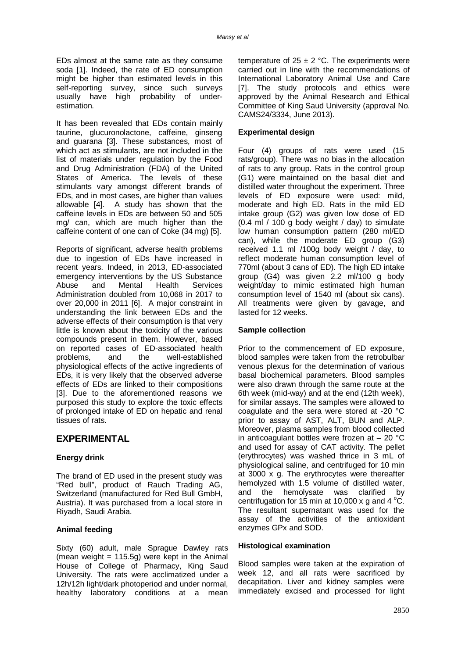EDs almost at the same rate as they consume soda [1]. Indeed, the rate of ED consumption might be higher than estimated levels in this self-reporting survey, since such surveys usually have high probability of underestimation.

It has been revealed that EDs contain mainly taurine, glucuronolactone, caffeine, ginseng and guarana [3]. These substances, most of which act as stimulants, are not included in the list of materials under regulation by the Food and Drug Administration (FDA) of the United States of America. The levels of these stimulants vary amongst different brands of EDs, and in most cases, are higher than values allowable [4]. A study has shown that the caffeine levels in EDs are between 50 and 505 mg/ can, which are much higher than the caffeine content of one can of Coke (34 mg) [5].

Reports of significant, adverse health problems due to ingestion of EDs have increased in recent years. Indeed, in 2013, ED-associated emergency interventions by the US Substance Abuse and Mental Health Services Administration doubled from 10,068 in 2017 to over 20,000 in 2011 [6]. A major constraint in understanding the link between EDs and the adverse effects of their consumption is that very little is known about the toxicity of the various compounds present in them. However, based on reported cases of ED-associated health problems, and the well-established physiological effects of the active ingredients of EDs, it is very likely that the observed adverse effects of EDs are linked to their compositions [3]. Due to the aforementioned reasons we purposed this study to explore the toxic effects of prolonged intake of ED on hepatic and renal tissues of rats.

## **EXPERIMENTAL**

## **Energy drink**

The brand of ED used in the present study was "Red bull", product of Rauch Trading AG, Switzerland (manufactured for Red Bull GmbH, Austria). It was purchased from a local store in Riyadh, Saudi Arabia.

#### **Animal feeding**

Sixty (60) adult, male Sprague Dawley rats (mean weight  $= 115.5g$ ) were kept in the Animal House of College of Pharmacy, King Saud University. The rats were acclimatized under a 12h/12h light/dark photoperiod and under normal, healthy laboratory conditions at a mean temperature of  $25 \pm 2$  °C. The experiments were carried out in line with the recommendations of International Laboratory Animal Use and Care [7]. The study protocols and ethics were approved by the Animal Research and Ethical Committee of King Saud University (approval No. CAMS24/3334, June 2013).

## **Experimental design**

Four (4) groups of rats were used (15 rats/group). There was no bias in the allocation of rats to any group. Rats in the control group (G1) were maintained on the basal diet and distilled water throughout the experiment. Three levels of ED exposure were used: mild, moderate and high ED. Rats in the mild ED intake group (G2) was given low dose of ED (0.4 ml / 100 g body weight / day) to simulate low human consumption pattern (280 ml/ED can), while the moderate ED group (G3) received 1.1 ml /100g body weight / day, to reflect moderate human consumption level of 770ml (about 3 cans of ED). The high ED intake group (G4) was given 2.2 ml/100 g body weight/day to mimic estimated high human consumption level of 1540 ml (about six cans). All treatments were given by gavage, and lasted for 12 weeks.

#### **Sample collection**

Prior to the commencement of ED exposure, blood samples were taken from the retrobulbar venous plexus for the determination of various basal biochemical parameters. Blood samples were also drawn through the same route at the 6th week (mid-way) and at the end (12th week), for similar assays. The samples were allowed to coagulate and the sera were stored at -20 °C prior to assay of AST, ALT, BUN and ALP. Moreover, plasma samples from blood collected in anticoagulant bottles were frozen at  $-20$  °C and used for assay of CAT activity. The pellet (erythrocytes) was washed thrice in 3 mL of physiological saline, and centrifuged for 10 min at 3000 x g. The erythrocytes were thereafter hemolyzed with 1.5 volume of distilled water,<br>and the hemolysate was clarified by and the hemolysate was centrifugation for 15 min at 10,000 x g and 4  $^{\circ}$ C. The resultant supernatant was used for the assay of the activities of the antioxidant enzymes GPx and SOD.

## **Histological examination**

Blood samples were taken at the expiration of week 12, and all rats were sacrificed by decapitation. Liver and kidney samples were immediately excised and processed for light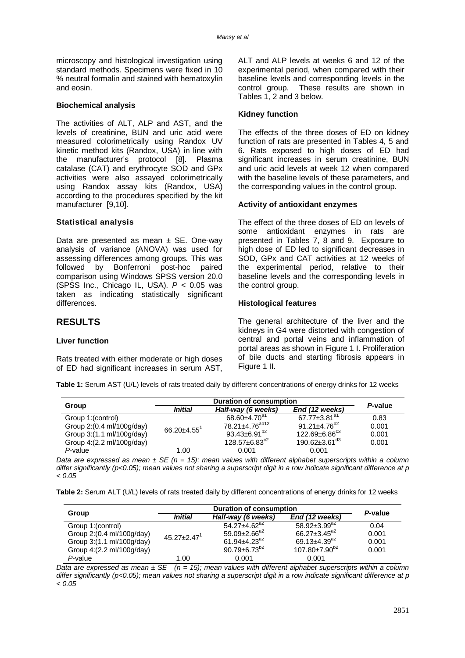microscopy and histological investigation using standard methods. Specimens were fixed in 10 % neutral formalin and stained with hematoxylin and eosin.

#### **Biochemical analysis**

The activities of ALT, ALP and AST, and the levels of creatinine, BUN and uric acid were measured colorimetrically using Randox UV kinetic method kits (Randox, USA) in line with the manufacturer's protocol [8]. Plasma catalase (CAT) and erythrocyte SOD and GPx activities were also assayed colorimetrically using Randox assay kits (Randox, USA) according to the procedures specified by the kit manufacturer [9,10].

#### **Statistical analysis**

Data are presented as mean  $\pm$  SE. One-way analysis of variance (ANOVA) was used for assessing differences among groups. This was followed by Bonferroni post-hoc paired comparison using Windows SPSS version 20.0 (SPSS Inc., Chicago IL, USA). *P* < 0.05 was taken as indicating statistically significant differences.

## **RESULTS**

#### **Liver function**

Rats treated with either moderate or high doses of ED had significant increases in serum AST,

ALT and ALP levels at weeks 6 and 12 of the experimental period, when compared with their baseline levels and corresponding levels in the control group. These results are shown in Tables 1, 2 and 3 below.

#### **Kidney function**

The effects of the three doses of ED on kidney function of rats are presented in Tables 4, 5 and 6. Rats exposed to high doses of ED had significant increases in serum creatinine, BUN and uric acid levels at week 12 when compared with the baseline levels of these parameters, and the corresponding values in the control group.

#### **Activity of antioxidant enzymes**

The effect of the three doses of ED on levels of some antioxidant enzymes in rats are presented in Tables 7, 8 and 9. Exposure to high dose of ED led to significant decreases in SOD, GPx and CAT activities at 12 weeks of the experimental period, relative to their baseline levels and the corresponding levels in the control group.

#### **Histological features**

The general architecture of the liver and the kidneys in G4 were distorted with congestion of central and portal veins and inflammation of portal areas as shown in Figure 1 I. Proliferation of bile ducts and starting fibrosis appears in Figure 1 II.

**Table 1:** Serum AST (U/L) levels of rats treated daily by different concentrations of energy drinks for 12 weeks

| Group                     | Initial                       | End (12 weeks)<br>Half-way (6 weeks) |                                 | P-value |  |
|---------------------------|-------------------------------|--------------------------------------|---------------------------------|---------|--|
| Group 1: (control)        |                               | $68.60 \pm 4.70$ <sup>a1</sup>       | $67.77 \pm 3.81$ <sup>a1</sup>  | 0.83    |  |
| Group 2:(0.4 ml/100g/day) | $66.20 \pm 4.55$ <sup>1</sup> | 78.21±4.76 <sup>ab12</sup>           | 91.21±4.76 $b2$                 | 0.001   |  |
| Group 3:(1.1 ml/100g/day) |                               | 93.43 $\pm$ 6.91 <sup>b2</sup>       | $122.69 \pm 6.86$ <sup>c3</sup> | 0.001   |  |
| Group 4:(2.2 ml/100g/day) |                               | 128.57±6.83 <sup>c2</sup>            | $190.62 \pm 3.61$ <sup>d3</sup> | 0.001   |  |
| P-value                   | 1.00                          | 0.001                                | 0.001                           |         |  |

*Data are expressed as mean ± SE (n = 15); mean values with different alphabet superscripts within a column differ significantly (p<0.05); mean values not sharing a superscript digit in a row indicate significant difference at p < 0.05*

**Table 2:** Serum ALT (U/L) levels of rats treated daily by different concentrations of energy drinks for 12 weeks

| Group                     |                | P-value                        |                                |       |
|---------------------------|----------------|--------------------------------|--------------------------------|-------|
|                           | Initial        | Half-way (6 weeks)             | End (12 weeks)                 |       |
| Group 1: (control)        |                | $54.27 \pm 4.62$ <sup>a2</sup> | $58.92 + 3.99^{a2}$            | 0.04  |
| Group 2:(0.4 ml/100g/day) | $45.27 + 2.47$ | $59.09 \pm 2.66$ <sup>a2</sup> | $66.27 \pm 3.45$ <sup>a2</sup> | 0.001 |
| Group 3:(1.1 ml/100g/day) |                | 61.94 $\pm$ 4.23 $^{a2}$       | 69.13 $\pm$ 4.39 <sup>a2</sup> | 0.001 |
| Group 4:(2.2 ml/100g/day) |                | 90.79 $\pm$ 6.73 $^{b2}$       | 107.80 $\pm$ 7.90 $^{b2}$      | 0.001 |
| P-value                   | 1.00           | 0.001                          | 0.001                          |       |

*Data are expressed as mean ± SE (n = 15); mean values with different alphabet superscripts within a column differ significantly (p<0.05); mean values not sharing a superscript digit in a row indicate significant difference at p < 0.05*

2851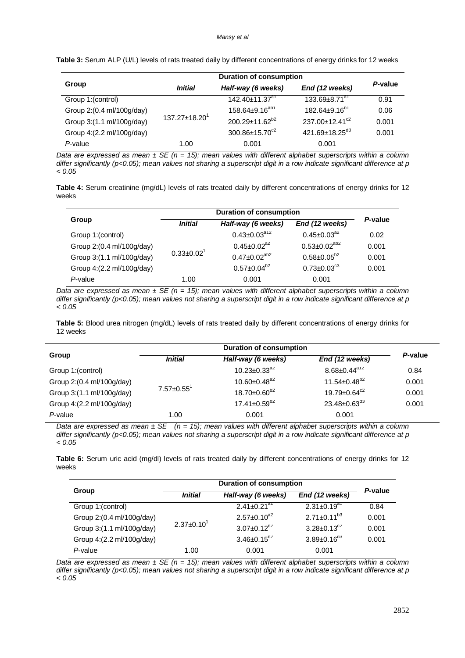**Table 3:** Serum ALP (U/L) levels of rats treated daily by different concentrations of energy drinks for 12 weeks

| Group                     | <i><b>Initial</b></i>           | Half-way (6 weeks)               | End (12 weeks)                   | P-value |  |
|---------------------------|---------------------------------|----------------------------------|----------------------------------|---------|--|
| Group 1: (control)        |                                 | $142.40 \pm 11.37$ <sup>a1</sup> | $133.69 \pm 8.71$ <sup>a1</sup>  | 0.91    |  |
| Group 2:(0.4 ml/100g/day) |                                 | $158.64 \pm 9.16^{ab1}$          | $182.64 \pm 9.16^{b1}$           | 0.06    |  |
| Group 3:(1.1 ml/100g/day) | $137.27 \pm 18.20$ <sup>1</sup> | $200.29 + 11.62^{b2}$            | $237.00+12.41^{c2}$              | 0.001   |  |
| Group 4:(2.2 ml/100g/day) |                                 | 300.86±15.70 <sup>c2</sup>       | $421.69 \pm 18.25$ <sup>d3</sup> | 0.001   |  |
| P-value                   | 1.00                            | 0.001                            | 0.001                            |         |  |

*Data are expressed as mean ± SE (n = 15); mean values with different alphabet superscripts within a column differ significantly (p<0.05); mean values not sharing a superscript digit in a row indicate significant difference at p < 0.05*

**Table 4:** Serum creatinine (mg/dL) levels of rats treated daily by different concentrations of energy drinks for 12 weeks

| Group                     | <b>Initial</b>    | Half-way (6 weeks)             | End (12 weeks)                 | P-value |  |
|---------------------------|-------------------|--------------------------------|--------------------------------|---------|--|
| Group 1: (control)        |                   | $0.43 \pm 0.03$ <sup>a12</sup> | $0.45 \pm 0.03$ <sup>a2</sup>  | 0.02    |  |
| Group 2:(0.4 ml/100g/day) |                   | $0.45 \pm 0.02$ <sup>a2</sup>  | $0.53 \pm 0.02$ <sup>ab2</sup> | 0.001   |  |
| Group 3:(1.1 ml/100g/day) | $0.33 \pm 0.02^1$ | $0.47 \pm 0.02^{ab2}$          | $0.58 + 0.05^{b2}$             | 0.001   |  |
| Group 4:(2.2 ml/100g/day) |                   | $0.57 \pm 0.04^{b2}$           | $0.73 \pm 0.03$ <sup>c3</sup>  | 0.001   |  |
| P-value                   | 1.00              | 0.001                          | 0.001                          |         |  |

*Data are expressed as mean ± SE (n = 15); mean values with different alphabet superscripts within a column differ significantly (p<0.05); mean values not sharing a superscript digit in a row indicate significant difference at p < 0.05*

**Table 5:** Blood urea nitrogen (mg/dL) levels of rats treated daily by different concentrations of energy drinks for 12 weeks

| Group                     | <i><b>Initial</b></i>        | Half-way (6 weeks)             | End (12 weeks)                 | P-value |
|---------------------------|------------------------------|--------------------------------|--------------------------------|---------|
| Group 1: (control)        |                              | $10.23 \pm 0.33$ <sup>a2</sup> | $8.68 \pm 0.44$ <sup>a12</sup> | 0.84    |
| Group 2:(0.4 ml/100g/day) |                              | $10.60 + 0.48^{a2}$            | $11.54 \pm 0.48^{b2}$          | 0.001   |
| Group 3:(1.1 ml/100g/day) | $7.57 \pm 0.55$ <sup>1</sup> | $18.70 \pm 0.60^{b2}$          | $19.79 \pm 0.64$ <sup>c2</sup> | 0.001   |
| Group 4:(2.2 ml/100g/day) |                              | $17.41 \pm 0.59^{b2}$          | $23.48 \pm 0.63$ <sup>d3</sup> | 0.001   |
| $P$ -value                | 1.00                         | 0.001                          | 0.001                          |         |

*Data are expressed as mean ± SE (n = 15); mean values with different alphabet superscripts within a column differ significantly (p<0.05); mean values not sharing a superscript digit in a row indicate significant difference at p < 0.05*

**Table 6:** Serum uric acid (mg/dl) levels of rats treated daily by different concentrations of energy drinks for 12 weeks

| Group                     | <i><b>Initial</b></i> | End (12 weeks)              | P-value                       |       |
|---------------------------|-----------------------|-----------------------------|-------------------------------|-------|
| Group 1: (control)        |                       | $2.41 + 0.21$ <sup>a1</sup> | $2.31 + 0.19^{a}$             | 0.84  |
| Group 2:(0.4 ml/100g/day) |                       | $2.57 \pm 0.10^{a2}$        | $2.71+0.11^{b3}$              | 0.001 |
| Group 3:(1.1 ml/100g/day) | $2.37 \pm 0.10^{1}$   | $3.07 \pm 0.12^{b2}$        | $3.28 \pm 0.13$ <sup>c2</sup> | 0.001 |
| Group 4:(2.2 ml/100g/day) |                       | $3.46 \pm 0.15^{b2}$        | $3.89 \pm 0.16$ <sup>d3</sup> | 0.001 |
| P-value                   | 1.00                  | 0.001                       | 0.001                         |       |

*Data are expressed as mean ± SE (n = 15); mean values with different alphabet superscripts within a column differ significantly (p<0.05); mean values not sharing a superscript digit in a row indicate significant difference at p < 0.05*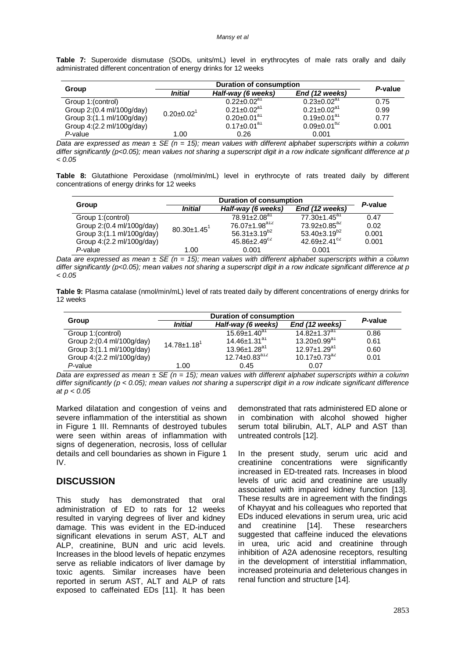#### *Mansy et al*

|  |                                                                     |  |  | Table 7: Superoxide dismutase (SODs, units/mL) level in erythrocytes of male rats orally and daily |  |  |  |
|--|---------------------------------------------------------------------|--|--|----------------------------------------------------------------------------------------------------|--|--|--|
|  | administrated different concentration of energy drinks for 12 weeks |  |  |                                                                                                    |  |  |  |

|                           |                   | P-value                       |                               |       |
|---------------------------|-------------------|-------------------------------|-------------------------------|-------|
| Group                     | Initial           | Half-way (6 weeks)            | End (12 weeks)                |       |
| Group 1: (control)        |                   | $0.22 \pm 0.02$ <sup>a1</sup> | $0.23 \pm 0.02$ <sup>a1</sup> | 0.75  |
| Group 2:(0.4 ml/100g/day) | $0.20 \pm 0.02^1$ | $0.21 \pm 0.02$ <sup>a1</sup> | $0.21 \pm 0.02$ <sup>a1</sup> | 0.99  |
| Group 3:(1.1 ml/100g/day) |                   | $0.20 \pm 0.01$ <sup>a1</sup> | $0.19 \pm 0.01$ <sup>a1</sup> | 0.77  |
| Group 4:(2.2 ml/100g/day) |                   | $0.17 \pm 0.01$ <sup>a1</sup> | $0.09 \pm 0.01^{b2}$          | 0.001 |
| P-value                   | 1.00              | 0.26                          | 0.001                         |       |

*Data are expressed as mean ± SE (n = 15); mean values with different alphabet superscripts within a column differ significantly (p<0.05); mean values not sharing a superscript digit in a row indicate significant difference at p < 0.05*

**Table 8:** Glutathione Peroxidase (nmol/min/mL) level in erythrocyte of rats treated daily by different concentrations of energy drinks for 12 weeks

|                           |                               | P-value                        |                                |       |
|---------------------------|-------------------------------|--------------------------------|--------------------------------|-------|
| Group                     | <i><b>Initial</b></i>         | Half-way (6 weeks)             | End (12 weeks)                 |       |
| Group 1: (control)        |                               | $78.91 \pm 2.08$ <sup>a1</sup> | $77.30 \pm 1.45$ <sup>a1</sup> | 0.47  |
| Group 2:(0.4 ml/100g/day) | $80.30 \pm 1.45$ <sup>1</sup> | 76.07±1.98 <sup>a12</sup>      | 73.92±0.85 <sup>a2</sup>       | 0.02  |
| Group 3:(1.1 ml/100g/day) |                               | $56.31 \pm 3.19^{62}$          | $53.40 \pm 3.19^{b2}$          | 0.001 |
| Group 4:(2.2 ml/100g/day) |                               | $45.86 \pm 2.49$ <sup>c2</sup> | $42.69 \pm 2.41$ <sup>c2</sup> | 0.001 |
| P-value                   | 1.00                          | 0.001                          | 0.001                          |       |

*Data are expressed as mean ± SE (n = 15); mean values with different alphabet superscripts within a column differ significantly (p<0.05); mean values not sharing a superscript digit in a row indicate significant difference at p < 0.05*

**Table 9:** Plasma catalase (nmol/min/mL) level of rats treated daily by different concentrations of energy drinks for 12 weeks

|                           |                                                               | P-value                        |                                |      |
|---------------------------|---------------------------------------------------------------|--------------------------------|--------------------------------|------|
| Group                     | <i><b>Initial</b></i><br>End (12 weeks)<br>Half-way (6 weeks) |                                |                                |      |
| Group 1: (control)        |                                                               | $15.69 \pm 1.40$ <sup>a1</sup> | $14.82 \pm 1.37$ <sup>a1</sup> | 0.86 |
| Group 2:(0.4 ml/100g/day) | $14.78 \pm 1.18$ <sup>1</sup>                                 | 14.46±1.31 <sup>a1</sup>       | $13.20 \pm 0.99$ <sup>a1</sup> | 0.61 |
| Group 3:(1.1 ml/100g/day) |                                                               | $13.96 \pm 1.28$ <sup>a1</sup> | $12.97 \pm 1.29$ <sup>a1</sup> | 0.60 |
| Group 4:(2.2 ml/100g/day) |                                                               | 12.74±0.83 <sup>a12</sup>      | $10.17 \pm 0.73$ <sup>a2</sup> | 0.01 |
| P-value                   | 1.00                                                          | 0.45                           | 0.07                           |      |

*Data are expressed as mean ± SE (n = 15); mean values with different alphabet superscripts within a column differ significantly (p < 0.05); mean values not sharing a superscript digit in a row indicate significant difference at p < 0.05*

Marked dilatation and congestion of veins and severe inflammation of the interstitial as shown in Figure 1 III. Remnants of destroyed tubules were seen within areas of inflammation with signs of degeneration, necrosis, loss of cellular details and cell boundaries as shown in Figure 1 IV.

## **DISCUSSION**

This study has demonstrated that oral administration of ED to rats for 12 weeks resulted in varying degrees of liver and kidney damage. This was evident in the ED-induced significant elevations in serum AST, ALT and ALP, creatinine, BUN and uric acid levels. Increases in the blood levels of hepatic enzymes serve as reliable indicators of liver damage by toxic agents. Similar increases have been reported in serum AST, ALT and ALP of rats exposed to caffeinated EDs [11]. It has been

demonstrated that rats administered ED alone or in combination with alcohol showed higher serum total bilirubin, ALT, ALP and AST than untreated controls [12].

In the present study, serum uric acid and creatinine concentrations were significantly increased in ED-treated rats. Increases in blood levels of uric acid and creatinine are usually associated with impaired kidney function [13]. These results are in agreement with the findings of Khayyat and his colleagues who reported that EDs induced elevations in serum urea, uric acid and creatinine [14]. These researchers suggested that caffeine induced the elevations in urea, uric acid and creatinine through inhibition of A2A adenosine receptors, resulting in the development of interstitial inflammation, increased proteinuria and deleterious changes in renal function and structure [14].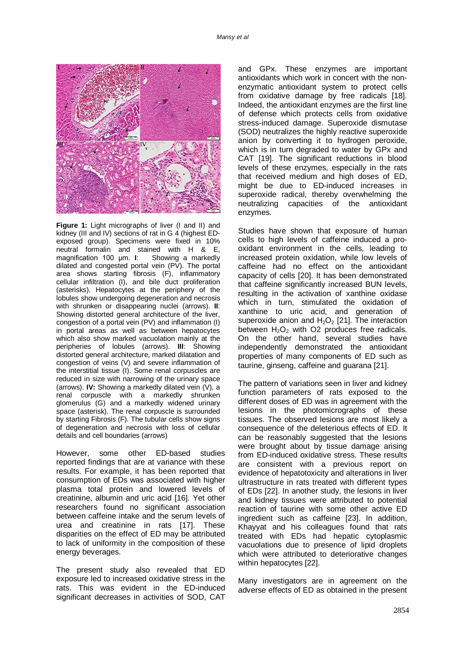

**Figure 1:** Light micrographs of liver (I and II) and kidney (III and IV) sections of rat in G 4 (highest EDexposed group). Specimens were fixed in 10% neutral formalin and stained with H & E, magnification 100 μm. **I**: Showing a markedly dilated and congested portal vein (PV). The portal area shows starting fibrosis (F), inflammatory cellular infiltration (I), and bile duct proliferation (asterisks). Hepatocytes at the periphery of the lobules show undergoing degeneration and necrosis with shrunken or disappearing nuclei (arrows). **II**: Showing distorted general architecture of the liver, congestion of a portal vein (PV) and inflammation (I) in portal areas as well as between hepatocytes which also show marked vacuolation mainly at the peripheries of lobules (arrows). **III**: Showing distorted general architecture, marked dilatation and congestion of veins (V) and severe inflammation of the interstitial tissue (I). Some renal corpuscles are reduced in size with narrowing of the urinary space (arrows). **IV:** Showing a markedly dilated vein (V), a renal corpuscle with a markedly shrunken glomerulus (G) and a markedly widened urinary space (asterisk). The renal corpuscle is surrounded by starting Fibrosis (F). The tubular cells show signs of degeneration and necrosis with loss of cellular details and cell boundaries (arrows)

However, some other ED-based studies reported findings that are at variance with these results. For example, it has been reported that consumption of EDs was associated with higher plasma total protein and lowered levels of creatinine, albumin and uric acid [16]. Yet other researchers found no significant association between caffeine intake and the serum levels of urea and creatinine in rats [17]. These disparities on the effect of ED may be attributed to lack of uniformity in the composition of these energy beverages.

The present study also revealed that ED exposure led to increased oxidative stress in the rats. This was evident in the ED-induced significant decreases in activities of SOD, CAT

and GPx. These enzymes are important antioxidants which work in concert with the nonenzymatic antioxidant system to protect cells from oxidative damage by free radicals [18]. Indeed, the antioxidant enzymes are the first line of defense which protects cells from oxidative stress-induced damage. Superoxide dismutase (SOD) neutralizes the highly reactive superoxide anion by converting it to hydrogen peroxide, which is in turn degraded to water by GPx and CAT [19]. The significant reductions in blood levels of these enzymes, especially in the rats that received medium and high doses of ED, might be due to ED-induced increases in superoxide radical, thereby overwhelming the neutralizing capacities of the antioxidant enzymes.

Studies have shown that exposure of human cells to high levels of caffeine induced a prooxidant environment in the cells, leading to increased protein oxidation, while low levels of caffeine had no effect on the antioxidant capacity of cells [20]. It has been demonstrated that caffeine significantly increased BUN levels, resulting in the activation of xanthine oxidase which in turn, stimulated the oxidation of xanthine to uric acid, and generation of superoxide anion and  $H_2O_2$  [21]. The interaction between  $H_2O_2$  with O2 produces free radicals. On the other hand, several studies have independently demonstrated the antioxidant properties of many components of ED such as taurine, ginseng, caffeine and guarana [21].

The pattern of variations seen in liver and kidney function parameters of rats exposed to the different doses of ED was in agreement with the lesions in the photomicrographs of these tissues. The observed lesions are most likely a consequence of the deleterious effects of ED. It can be reasonably suggested that the lesions were brought about by tissue damage arising from ED-induced oxidative stress. These results are consistent with a previous report on evidence of hepatotoxicity and alterations in liver ultrastructure in rats treated with different types of EDs [22]. In another study, the lesions in liver and kidney tissues were attributed to potential reaction of taurine with some other active ED ingredient such as caffeine [23]. In addition, Khayyat and his colleagues found that rats treated with EDs had hepatic cytoplasmic vacuolations due to presence of lipid droplets which were attributed to deteriorative changes within hepatocytes [22].

Many investigators are in agreement on the adverse effects of ED as obtained in the present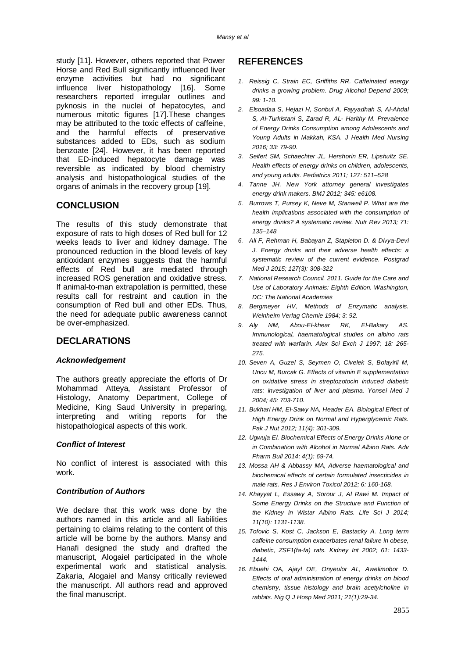study [11]. However, others reported that Power Horse and Red Bull significantly influenced liver enzyme activities but had no significant influence liver histopathology [16]. Some researchers reported irregular outlines and pyknosis in the nuclei of hepatocytes, and numerous mitotic figures [17].These changes may be attributed to the toxic effects of caffeine, and the harmful effects of preservative substances added to EDs, such as sodium benzoate [24]. However, it has been reported that ED-induced hepatocyte damage was reversible as indicated by blood chemistry analysis and histopathological studies of the organs of animals in the recovery group [19].

## **CONCLUSION**

The results of this study demonstrate that exposure of rats to high doses of Red bull for 12 weeks leads to liver and kidney damage. The pronounced reduction in the blood levels of key antioxidant enzymes suggests that the harmful effects of Red bull are mediated through increased ROS generation and oxidative stress. If animal-to-man extrapolation is permitted, these results call for restraint and caution in the consumption of Red bull and other EDs. Thus, the need for adequate public awareness cannot be over-emphasized.

## **DECLARATIONS**

#### *Acknowledgement*

The authors greatly appreciate the efforts of Dr Mohammad Atteya, Assistant Professor of Histology, Anatomy Department, College of Medicine, King Saud University in preparing, interpreting and writing reports for the histopathological aspects of this work.

#### *Conflict of Interest*

No conflict of interest is associated with this work.

#### *Contribution of Authors*

We declare that this work was done by the authors named in this article and all liabilities pertaining to claims relating to the content of this article will be borne by the authors. Mansy and Hanafi designed the study and drafted the manuscript, Alogaiel participated in the whole experimental work and statistical analysis. Zakaria, Alogaiel and Mansy critically reviewed the manuscript. All authors read and approved the final manuscript.

## **REFERENCES**

- *1. Reissig C, Strain EC, Griffiths RR. Caffeinated energy drinks a growing problem. Drug Alcohol Depend 2009; 99: 1-10.*
- *2. Elsoadaa S, Hejazi H, Sonbul A, Fayyadhah S, Al-Ahdal S, Al-Turkistani S, Zarad R, AL- Harithy M. Prevalence of Energy Drinks Consumption among Adolescents and Young Adults in Makkah, KSA. J Health Med Nursing 2016; 33: 79-90.*
- *3. Seifert SM, Schaechter JL, Hershorin ER, Lipshultz SE. Health effects of energy drinks on children, adolescents, and young adults. Pediatrics 2011; 127: 511–528*
- *4. Tanne JH. New York attorney general investigates energy drink makers. BMJ 2012; 345: e6108.*
- *5. Burrows T, Pursey K, Neve M, Stanwell P. What are the health implications associated with the consumption of energy drinks? A systematic review. Nutr Rev 2013; 71: 135–148*
- *6. Ali F, Rehman H, Babayan Z, Stapleton D. & Divya-Devi J. Energy drinks and their adverse health effects: a systematic review of the current evidence. Postgrad Med J 2015; 127(3): 308-322*
- *7. National Research Council. 2011. Guide for the Care and Use of Laboratory Animals: Eighth Edition. Washington, DC: The National Academies*
- *8. Bergmeyer HV, Methods of Enzymatic analysis. Weinheim Verlag Chemie 1984; 3: 92.*
- *9. Aly NM, Abou-El-khear RK, El-Bakary AS. Immunological, haematological studies on albino rats treated with warfarin. Alex Sci Exch J 1997; 18: 265- 275.*
- *10. Seven A, Guzel S, Seymen O, Civelek S, Bolayirli M, Uncu M, Burcak G. Effects of vitamin E supplementation on oxidative stress in streptozotocin induced diabetic rats: investigation of liver and plasma. Yonsei Med J 2004; 45: 703-710.*
- *11. Bukhari HM, El-Sawy NA, Header EA. Biological Effect of High Energy Drink on Normal and Hyperglycemic Rats. Pak J Nut 2012; 11(4): 301-309.*
- *12. Ugwuja EI. Biochemical Effects of Energy Drinks Alone or in Combination with Alcohol in Normal Albino Rats. Adv Pharm Bull 2014; 4(1): 69-74.*
- *13. Mossa AH & Abbassy MA, Adverse haematological and biochemical effects of certain formulated insecticides in male rats. Res J Environ Toxicol 2012; 6: 160-168.*
- *14. Khayyat L, Essawy A, Sorour J, Al Rawi M. Impact of Some Energy Drinks on the Structure and Function of the Kidney in Wistar Albino Rats. Life Sci J 2014; 11(10): 1131-1138.*
- *15. Tofovic S, Kost C, Jackson E, Bastacky A. Long term caffeine consumption exacerbates renal failure in obese, diabetic, ZSF1(fa-fa) rats. Kidney Int 2002; 61: 1433- 1444.*
- *16. Ebuehi OA, Ajayl OE, Onyeulor AL, Awelimobor D. Effects of oral administration of energy drinks on blood chemistry, tissue histology and brain acetylcholine in rabbits. Nig Q J Hosp Med 2011; 21(1):29-34.*